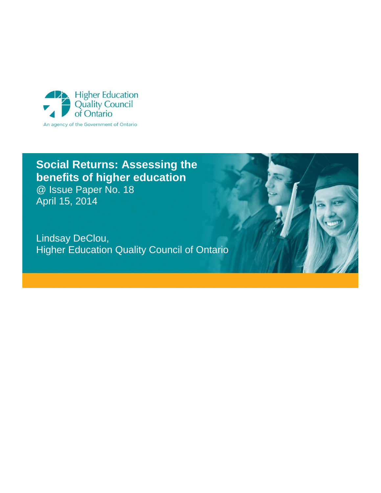

## **Social Returns: Assessing the benefits of higher education**

@ Issue Paper No. 18 April 15, 2014

Lindsay DeClou, Higher Education Quality Council of Ontario

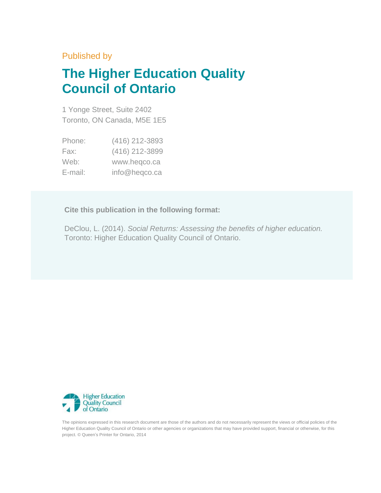## Published by

# **The Higher Education Quality Council of Ontario**

1 Yonge Street, Suite 2402 Toronto, ON Canada, M5E 1E5

| Phone:  | (416) 212-3893 |
|---------|----------------|
| Fax:    | (416) 212-3899 |
| Web:    | www.heqco.ca   |
| E-mail: | info@heqco.ca  |

**Cite this publication in the following format:**

DeClou, L. (2014). *Social Returns: Assessing the benefits of higher education.* Toronto: Higher Education Quality Council of Ontario.



The opinions expressed in this research document are those of the authors and do not necessarily represent the views or official policies of the Higher Education Quality Council of Ontario or other agencies or organizations that may have provided support, financial or otherwise, for this project. © Queen's Printer for Ontario, 2014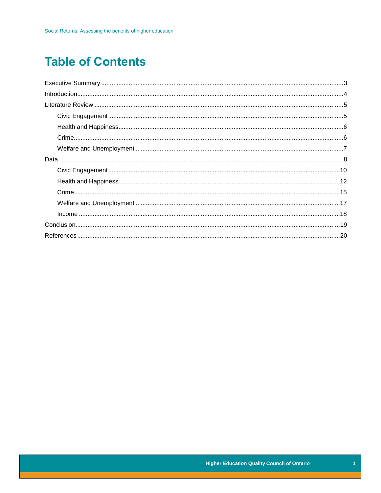# **Table of Contents**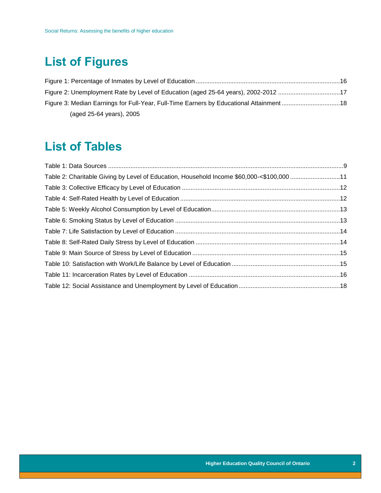# **List of Figures**

| Figure 2: Unemployment Rate by Level of Education (aged 25-64 years), 2002-2012 17     |  |
|----------------------------------------------------------------------------------------|--|
| Figure 3: Median Earnings for Full-Year, Full-Time Earners by Educational Attainment18 |  |
| (aged 25-64 years), 2005                                                               |  |

## **List of Tables**

| Table 2: Charitable Giving by Level of Education, Household Income \$60,000-<\$100,000 11 |  |
|-------------------------------------------------------------------------------------------|--|
|                                                                                           |  |
|                                                                                           |  |
|                                                                                           |  |
|                                                                                           |  |
|                                                                                           |  |
|                                                                                           |  |
|                                                                                           |  |
|                                                                                           |  |
|                                                                                           |  |
|                                                                                           |  |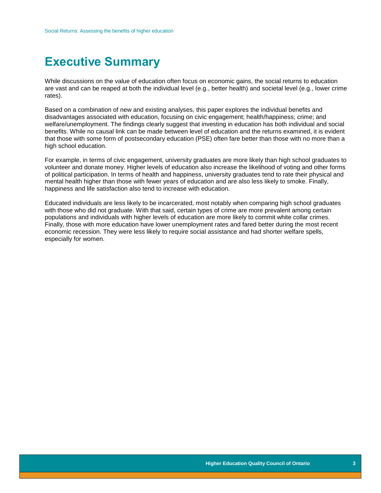## <span id="page-4-0"></span>**Executive Summary**

While discussions on the value of education often focus on economic gains, the social returns to education are vast and can be reaped at both the individual level (e.g., better health) and societal level (e.g., lower crime rates).

Based on a combination of new and existing analyses, this paper explores the individual benefits and disadvantages associated with education, focusing on civic engagement; health/happiness; crime; and welfare/unemployment. The findings clearly suggest that investing in education has both individual and social benefits. While no causal link can be made between level of education and the returns examined, it is evident that those with some form of postsecondary education (PSE) often fare better than those with no more than a high school education.

For example, in terms of civic engagement, university graduates are more likely than high school graduates to volunteer and donate money. Higher levels of education also increase the likelihood of voting and other forms of political participation. In terms of health and happiness, university graduates tend to rate their physical and mental health higher than those with fewer years of education and are also less likely to smoke. Finally, happiness and life satisfaction also tend to increase with education.

Educated individuals are less likely to be incarcerated, most notably when comparing high school graduates with those who did not graduate. With that said, certain types of crime are more prevalent among certain populations and individuals with higher levels of education are more likely to commit white collar crimes. Finally, those with more education have lower unemployment rates and fared better during the most recent economic recession. They were less likely to require social assistance and had shorter welfare spells, especially for women.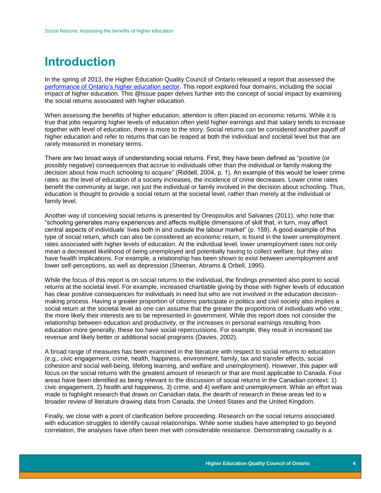## <span id="page-5-0"></span>**Introduction**

In the spring of 2013, the Higher Education Quality Council of Ontario released a report that assessed the [performance of Ontario's higher education sector.](http://heqco.ca/en-ca/research/performanceindicators/Pages/default.aspx) This report explored four domains, including the social impact of higher education. This @Issue paper delves further into the concept of social impact by examining the social returns associated with higher education.

When assessing the benefits of higher education, attention is often placed on economic returns. While it is true that jobs requiring higher levels of education often yield higher earnings and that salary tends to increase together with level of education, there is more to the story. Social returns can be considered another payoff of higher education and refer to returns that can be reaped at both the individual and societal level but that are rarely measured in monetary terms.

There are two broad ways of understanding social returns. First, they have been defined as "positive (or possibly negative) consequences that accrue to individuals other than the individual or family making the decision about how much schooling to acquire" (Riddell, 2004, p. 1). An example of this would be lower crime rates: as the level of education of a society increases, the incidence of crime decreases. Lower crime rates benefit the community at large, not just the individual or family involved in the decision about schooling. Thus, education is thought to provide a social return at the societal level, rather than merely at the individual or family level.

Another way of conceiving social returns is presented by Oreopoulos and Salvanes (2011), who note that "schooling generates many experiences and affects multiple dimensions of skill that, in turn, may affect central aspects of individuals' lives both in and outside the labour market" (p. 159). A good example of this type of social return, which can also be considered an economic return, is found in the lower unemployment rates associated with higher levels of education. At the individual level, lower unemployment rates not only mean a decreased likelihood of being unemployed and potentially having to collect welfare, but they also have health implications. For example, a relationship has been shown to exist between unemployment and lower self-perceptions, as well as depression (Sheeran, Abrams & Orbell, 1995).

While the focus of this report is on social returns to the individual, the findings presented also point to social returns at the societal level. For example, increased charitable giving by those with higher levels of education has clear positive consequences for individuals in need but who are not involved in the education decisionmaking process. Having a greater proportion of citizens participate in politics and civil society also implies a social return at the societal level as one can assume that the greater the proportions of individuals who vote, the more likely their interests are to be represented in government. While this report does not consider the relationship between education and productivity, or the increases in personal earnings resulting from education more generally, these too have social repercussions. For example, they result in increased tax revenue and likely better or additional social programs (Davies, 2002).

A broad range of measures has been examined in the literature with respect to social returns to education (e.g., civic engagement, crime, health, happiness, environment, family, tax and transfer effects, social cohesion and social well-being, lifelong learning, and welfare and unemployment). However, this paper will focus on the social returns with the greatest amount of research or that are most applicable to Canada. Four areas have been identified as being relevant to the discussion of social returns in the Canadian context: 1) civic engagement, 2) health and happiness, 3) crime, and 4) welfare and unemployment. While an effort was made to highlight research that draws on Canadian data, the dearth of research in these areas led to a broader review of literature drawing data from Canada, the United States and the United Kingdom.

Finally, we close with a point of clarification before proceeding. Research on the social returns associated with education struggles to identify causal relationships. While some studies have attempted to go beyond correlation, the analyses have often been met with considerable resistance. Demonstrating causality is a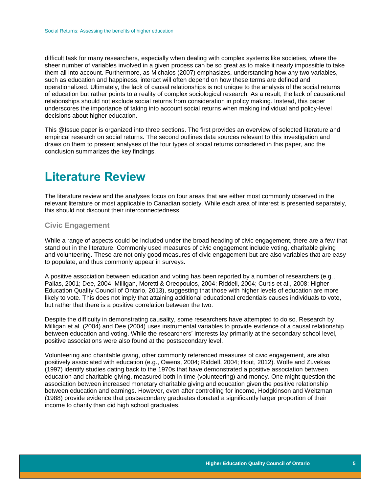difficult task for many researchers, especially when dealing with complex systems like societies, where the sheer number of variables involved in a given process can be so great as to make it nearly impossible to take them all into account. Furthermore, as Michalos (2007) emphasizes, understanding how any two variables, such as education and happiness, interact will often depend on how these terms are defined and operationalized. Ultimately, the lack of causal relationships is not unique to the analysis of the social returns of education but rather points to a reality of complex sociological research. As a result, the lack of causational relationships should not exclude social returns from consideration in policy making. Instead, this paper underscores the importance of taking into account social returns when making individual and policy-level decisions about higher education.

This @Issue paper is organized into three sections. The first provides an overview of selected literature and empirical research on social returns. The second outlines data sources relevant to this investigation and draws on them to present analyses of the four types of social returns considered in this paper, and the conclusion summarizes the key findings.

## <span id="page-6-0"></span>**Literature Review**

The literature review and the analyses focus on four areas that are either most commonly observed in the relevant literature or most applicable to Canadian society. While each area of interest is presented separately, this should not discount their interconnectedness.

## <span id="page-6-1"></span>**Civic Engagement**

While a range of aspects could be included under the broad heading of civic engagement, there are a few that stand out in the literature. Commonly used measures of civic engagement include voting, charitable giving and volunteering. These are not only good measures of civic engagement but are also variables that are easy to populate, and thus commonly appear in surveys.

A positive association between education and voting has been reported by a number of researchers (e.g., Pallas, 2001; Dee, 2004; Milligan, Moretti & Oreopoulos, 2004; Riddell, 2004; Curtis et al., 2008; Higher Education Quality Council of Ontario, 2013), suggesting that those with higher levels of education are more likely to vote. This does not imply that attaining additional educational credentials causes individuals to vote, but rather that there is a positive correlation between the two.

Despite the difficulty in demonstrating causality, some researchers have attempted to do so. Research by Milligan et al. (2004) and Dee (2004) uses instrumental variables to provide evidence of a causal relationship between education and voting. While the researchers' interests lay primarily at the secondary school level, positive associations were also found at the postsecondary level.

Volunteering and charitable giving, other commonly referenced measures of civic engagement, are also positively associated with education (e.g., Owens, 2004; Riddell, 2004; Hout, 2012). Wolfe and Zuvekas (1997) identify studies dating back to the 1970s that have demonstrated a positive association between education and charitable giving, measured both in time (volunteering) and money. One might question the association between increased monetary charitable giving and education given the positive relationship between education and earnings. However, even after controlling for income, Hodgkinson and Weitzman (1988) provide evidence that postsecondary graduates donated a significantly larger proportion of their income to charity than did high school graduates.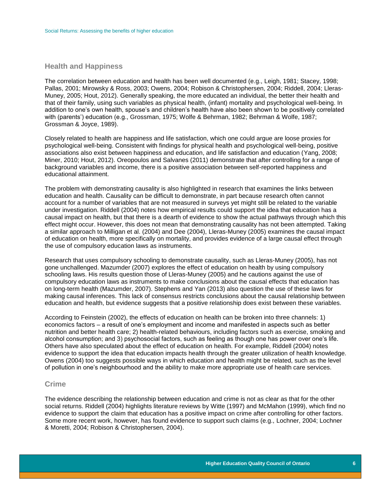## <span id="page-7-0"></span>**Health and Happiness**

The correlation between education and health has been well documented (e.g., Leigh, 1981; Stacey, 1998; Pallas, 2001; Mirowsky & Ross, 2003; Owens, 2004; Robison & Christophersen, 2004; Riddell, 2004; Lleras-Muney, 2005; Hout, 2012). Generally speaking, the more educated an individual, the better their health and that of their family, using such variables as physical health, (infant) mortality and psychological well-being. In addition to one's own health, spouse's and children's health have also been shown to be positively correlated with (parents') education (e.g., Grossman, 1975; Wolfe & Behrman, 1982; Behrman & Wolfe, 1987; Grossman & Joyce, 1989).

Closely related to health are happiness and life satisfaction, which one could argue are loose proxies for psychological well-being. Consistent with findings for physical health and psychological well-being, positive associations also exist between happiness and education, and life satisfaction and education (Yang, 2008; Miner, 2010; Hout, 2012). Oreopoulos and Salvanes (2011) demonstrate that after controlling for a range of background variables and income, there is a positive association between self-reported happiness and educational attainment.

The problem with demonstrating causality is also highlighted in research that examines the links between education and health. Causality can be difficult to demonstrate, in part because research often cannot account for a number of variables that are not measured in surveys yet might still be related to the variable under investigation. Riddell (2004) notes how empirical results could support the idea that education has a causal impact on health, but that there is a dearth of evidence to show the actual pathways through which this effect might occur. However, this does not mean that demonstrating causality has not been attempted. Taking a similar approach to Milligan et al. (2004) and Dee (2004), Lleras-Muney (2005) examines the causal impact of education on health, more specifically on mortality, and provides evidence of a large causal effect through the use of compulsory education laws as instruments.

Research that uses compulsory schooling to demonstrate causality, such as Lleras-Muney (2005), has not gone unchallenged. Mazumder (2007) explores the effect of education on health by using compulsory schooling laws. His results question those of Lleras-Muney (2005) and he cautions against the use of compulsory education laws as instruments to make conclusions about the causal effects that education has on long-term health (Mazumder, 2007). Stephens and Yan (2013) also question the use of these laws for making causal inferences. This lack of consensus restricts conclusions about the causal relationship between education and health, but evidence suggests that a positive relationship does exist between these variables.

According to Feinstein (2002), the effects of education on health can be broken into three channels: 1) economics factors – a result of one's employment and income and manifested in aspects such as better nutrition and better health care; 2) health-related behaviours, including factors such as exercise, smoking and alcohol consumption; and 3) psychosocial factors, such as feeling as though one has power over one's life. Others have also speculated about the effect of education on health. For example, Riddell (2004) notes evidence to support the idea that education impacts health through the greater utilization of health knowledge. Owens (2004) too suggests possible ways in which education and health might be related, such as the level of pollution in one's neighbourhood and the ability to make more appropriate use of health care services.

## <span id="page-7-1"></span>**Crime**

The evidence describing the relationship between education and crime is not as clear as that for the other social returns. Riddell (2004) highlights literature reviews by Witte (1997) and McMahon (1999), which find no evidence to support the claim that education has a positive impact on crime after controlling for other factors. Some more recent work, however, has found evidence to support such claims (e.g., Lochner, 2004; Lochner & Moretti, 2004; Robison & Christophersen, 2004).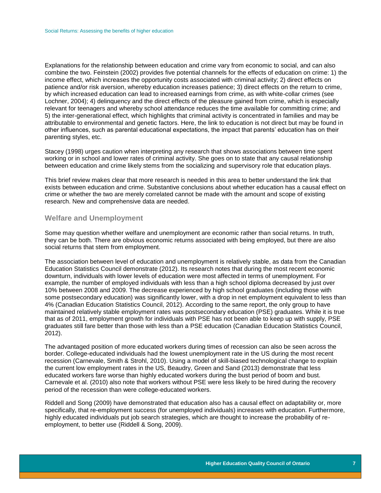Explanations for the relationship between education and crime vary from economic to social, and can also combine the two. Feinstein (2002) provides five potential channels for the effects of education on crime: 1) the income effect, which increases the opportunity costs associated with criminal activity; 2) direct effects on patience and/or risk aversion, whereby education increases patience; 3) direct effects on the return to crime, by which increased education can lead to increased earnings from crime, as with white-collar crimes (see Lochner, 2004); 4) delinquency and the direct effects of the pleasure gained from crime, which is especially relevant for teenagers and whereby school attendance reduces the time available for committing crime; and 5) the inter-generational effect, which highlights that criminal activity is concentrated in families and may be attributable to environmental and genetic factors. Here, the link to education is not direct but may be found in other influences, such as parental educational expectations, the impact that parents' education has on their parenting styles, etc.

Stacey (1998) urges caution when interpreting any research that shows associations between time spent working or in school and lower rates of criminal activity. She goes on to state that any causal relationship between education and crime likely stems from the socializing and supervisory role that education plays.

This brief review makes clear that more research is needed in this area to better understand the link that exists between education and crime. Substantive conclusions about whether education has a causal effect on crime or whether the two are merely correlated cannot be made with the amount and scope of existing research. New and comprehensive data are needed.

## <span id="page-8-0"></span>**Welfare and Unemployment**

Some may question whether welfare and unemployment are economic rather than social returns. In truth, they can be both. There are obvious economic returns associated with being employed, but there are also social returns that stem from employment.

The association between level of education and unemployment is relatively stable, as data from the Canadian Education Statistics Council demonstrate (2012). Its research notes that during the most recent economic downturn, individuals with lower levels of education were most affected in terms of unemployment. For example, the number of employed individuals with less than a high school diploma decreased by just over 10% between 2008 and 2009. The decrease experienced by high school graduates (including those with some postsecondary education) was significantly lower, with a drop in net employment equivalent to less than 4% (Canadian Education Statistics Council, 2012). According to the same report, the only group to have maintained relatively stable employment rates was postsecondary education (PSE) graduates. While it is true that as of 2011, employment growth for individuals with PSE has not been able to keep up with supply, PSE graduates still fare better than those with less than a PSE education (Canadian Education Statistics Council, 2012).

The advantaged position of more educated workers during times of recession can also be seen across the border. College-educated individuals had the lowest unemployment rate in the US during the most recent recession (Carnevale, Smith & Strohl, 2010). Using a model of skill-biased technological change to explain the current low employment rates in the US, Beaudry, Green and Sand (2013) demonstrate that less educated workers fare worse than highly educated workers during the bust period of boom and bust. Carnevale et al. (2010) also note that workers without PSE were less likely to be hired during the recovery period of the recession than were college-educated workers.

Riddell and Song (2009) have demonstrated that education also has a causal effect on adaptability or, more specifically, that re-employment success (for unemployed individuals) increases with education. Furthermore, highly educated individuals put job search strategies, which are thought to increase the probability of reemployment, to better use (Riddell & Song, 2009).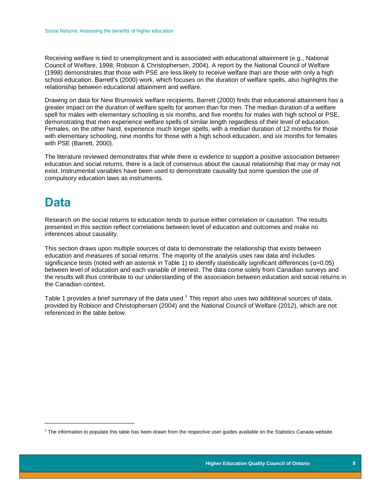Receiving welfare is tied to unemployment and is associated with educational attainment (e.g., National Council of Welfare, 1998; Robison & Christophersen, 2004). A report by the National Council of Welfare (1998) demonstrates that those with PSE are less likely to receive welfare than are those with only a high school education. Barrett's (2000) work, which focuses on the duration of welfare spells, also highlights the relationship between educational attainment and welfare.

Drawing on data for New Brunswick welfare recipients, Barrett (2000) finds that educational attainment has a greater impact on the duration of welfare spells for women than for men. The median duration of a welfare spell for males with elementary schooling is six months, and five months for males with high school or PSE, demonstrating that men experience welfare spells of similar length regardless of their level of education. Females, on the other hand, experience much longer spells, with a median duration of 12 months for those with elementary schooling, nine months for those with a high school education, and six months for females with PSE (Barrett, 2000).

The literature reviewed demonstrates that while there is evidence to support a positive association between education and social returns, there is a lack of consensus about the causal relationship that may or may not exist. Instrumental variables have been used to demonstrate causality but some question the use of compulsory education laws as instruments.

## <span id="page-9-0"></span>**Data**

 $\overline{a}$ 

Research on the social returns to education tends to pursue either correlation or causation. The results presented in this section reflect correlations between level of education and outcomes and make no inferences about causality.

This section draws upon multiple sources of data to demonstrate the relationship that exists between education and measures of social returns. The majority of the analysis uses raw data and includes significance tests (noted with an asterisk in Table 1) to identify statistically significant differences ( $\alpha$ =0.05) between level of education and each variable of interest. The data come solely from Canadian surveys and the results will thus contribute to our understanding of the association between education and social returns in the Canadian context.

<span id="page-9-1"></span>Table 1 provides a brief summary of the data used.<sup>1</sup> This report also uses two additional sources of data, provided by Robison and Christophersen (2004) and the National Council of Welfare (2012), which are not referenced in the table below.

 $1$  The information to populate this table has been drawn from the respective user guides available on the Statistics Canada website.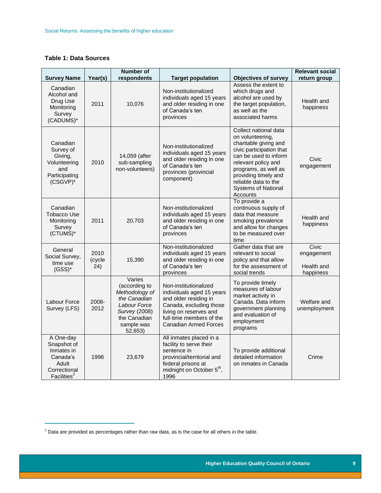## **Table 1: Data Sources**

<span id="page-10-0"></span> $\overline{a}$ 

| <b>Survey Name</b>                                                                                     | Year(s)                | <b>Number of</b><br>respondents                                                                                                            | <b>Target population</b>                                                                                                                                                                     | <b>Objectives of survey</b>                                                                                                                                                                                                                                      | <b>Relevant social</b><br>return group         |
|--------------------------------------------------------------------------------------------------------|------------------------|--------------------------------------------------------------------------------------------------------------------------------------------|----------------------------------------------------------------------------------------------------------------------------------------------------------------------------------------------|------------------------------------------------------------------------------------------------------------------------------------------------------------------------------------------------------------------------------------------------------------------|------------------------------------------------|
| Canadian<br>Alcohol and<br>Drug Use<br>Monitoring<br>Survey<br>(CADUMS)*                               | 2011                   | 10,076                                                                                                                                     | Non-institutionalized<br>individuals aged 15 years<br>and older residing in one<br>of Canada's ten<br>provinces                                                                              | Assess the extent to<br>which drugs and<br>alcohol are used by<br>the target population,<br>as well as the<br>associated harms                                                                                                                                   | Health and<br>happiness                        |
| Canadian<br>Survey of<br>Giving,<br>Volunteering<br>and<br>Participating<br>$(CSGVP)^*$                | 2010                   | 14,059 (after<br>sub-sampling<br>non-volunteers)                                                                                           | Non-institutionalized<br>individuals aged 15 years<br>and older residing in one<br>of Canada's ten<br>provinces (provincial<br>component)                                                    | Collect national data<br>on volunteering,<br>charitable giving and<br>civic participation that<br>can be used to inform<br>relevant policy and<br>programs, as well as<br>providing timely and<br>reliable data to the<br><b>Systems of National</b><br>Accounts | Civic<br>engagement                            |
| Canadian<br><b>Tobacco Use</b><br>Monitoring<br>Survey<br>(CTUMS)*                                     | 2011                   | 20,703                                                                                                                                     | Non-institutionalized<br>individuals aged 15 years<br>and older residing in one<br>of Canada's ten<br>provinces                                                                              | To provide a<br>continuous supply of<br>data that measure<br>smoking prevalence<br>and allow for changes<br>to be measured over<br>time                                                                                                                          | Health and<br>happiness                        |
| General<br>Social Survey,<br>time use<br>$(GSS)^*$                                                     | 2010<br>(cycle<br>(24) | 15,390                                                                                                                                     | Non-institutionalized<br>individuals aged 15 years<br>and older residing in one<br>of Canada's ten<br>provinces                                                                              | Gather data that are<br>relevant to social<br>policy and that allow<br>for the assessment of<br>social trends                                                                                                                                                    | Civic<br>engagement<br>Health and<br>happiness |
| Labour Force<br>Survey (LFS)                                                                           | 2008-<br>2012          | Varies<br>(according to<br>Methodology of<br>the Canadian<br>Labour Force<br><b>Survey (2008)</b><br>the Canadian<br>sample was<br>52,653) | Non-institutionalized<br>individuals aged 15 years<br>and older residing in<br>Canada, excluding those<br>living on reserves and<br>full-time members of the<br><b>Canadian Armed Forces</b> | To provide timely<br>measures of labour<br>market activity in<br>Canada. Data inform<br>government planning<br>and evaluation of<br>employment<br>programs                                                                                                       | Welfare and<br>unemployment                    |
| A One-day<br>Snapshot of<br>Inmates in<br>Canada's<br>Adult<br>Correctional<br>Facilities <sup>2</sup> | 1996                   | 23,679                                                                                                                                     | All inmates placed in a<br>facility to serve their<br>sentence in<br>provincial/territorial and<br>federal prisons at<br>midnight on October 5 <sup>th</sup> ,<br>1996                       | To provide additional<br>detailed information<br>on inmates in Canada                                                                                                                                                                                            | Crime                                          |

 $^2$  Data are provided as percentages rather than raw data, as is the case for all others in the table.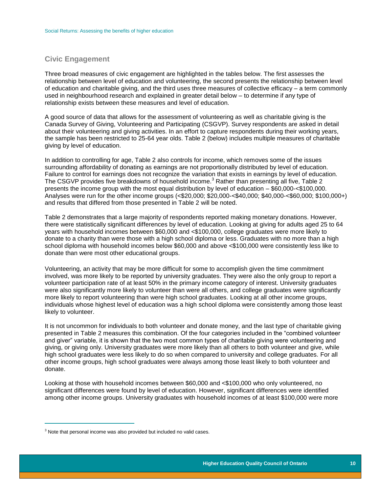## **Civic Engagement**

Three broad measures of civic engagement are highlighted in the tables below. The first assesses the relationship between level of education and volunteering, the second presents the relationship between level of education and charitable giving, and the third uses three measures of collective efficacy – a term commonly used in neighbourhood research and explained in greater detail below – to determine if any type of relationship exists between these measures and level of education.

A good source of data that allows for the assessment of volunteering as well as charitable giving is the Canada Survey of Giving, Volunteering and Participating (CSGVP). Survey respondents are asked in detail about their volunteering and giving activities. In an effort to capture respondents during their working years, the sample has been restricted to 25-64 year olds. Table 2 (below) includes multiple measures of charitable giving by level of education.

In addition to controlling for age, Table 2 also controls for income, which removes some of the issues surrounding affordability of donating as earnings are not proportionally distributed by level of education. Failure to control for earnings does not recognize the variation that exists in earnings by level of education. The CSGVP provides five breakdowns of household income.<sup>3</sup> Rather than presenting all five, Table 2 presents the income group with the most equal distribution by level of education – \$60,000-<\$100,000. Analyses were run for the other income groups (<\$20,000; \$20,000-<\$40,000; \$40,000-<\$60,000; \$100,000+) and results that differed from those presented in Table 2 will be noted.

Table 2 demonstrates that a large majority of respondents reported making monetary donations. However, there were statistically significant differences by level of education. Looking at giving for adults aged 25 to 64 years with household incomes between \$60,000 and <\$100,000, college graduates were more likely to donate to a charity than were those with a high school diploma or less. Graduates with no more than a high school diploma with household incomes below \$60,000 and above <\$100,000 were consistently less like to donate than were most other educational groups.

Volunteering, an activity that may be more difficult for some to accomplish given the time commitment involved, was more likely to be reported by university graduates. They were also the only group to report a volunteer participation rate of at least 50% in the primary income category of interest. University graduates were also significantly more likely to volunteer than were all others, and college graduates were significantly more likely to report volunteering than were high school graduates. Looking at all other income groups, individuals whose highest level of education was a high school diploma were consistently among those least likely to volunteer.

It is not uncommon for individuals to both volunteer and donate money, and the last type of charitable giving presented in Table 2 measures this combination. Of the four categories included in the "combined volunteer and giver" variable, it is shown that the two most common types of charitable giving were volunteering and giving, or giving only. University graduates were more likely than all others to both volunteer and give, while high school graduates were less likely to do so when compared to university and college graduates. For all other income groups, high school graduates were always among those least likely to both volunteer and donate.

Looking at those with household incomes between \$60,000 and <\$100,000 who only volunteered, no significant differences were found by level of education. However, significant differences were identified among other income groups. University graduates with household incomes of at least \$100,000 were more

 $\overline{a}$ 

 $3$  Note that personal income was also provided but included no valid cases.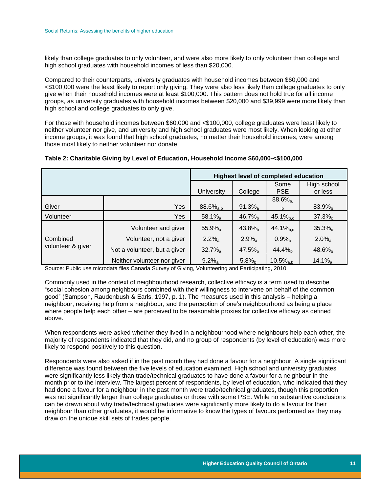likely than college graduates to only volunteer, and were also more likely to only volunteer than college and high school graduates with household incomes of less than \$20,000.

Compared to their counterparts, university graduates with household incomes between \$60,000 and <\$100,000 were the least likely to report only giving. They were also less likely than college graduates to only give when their household incomes were at least \$100,000. This pattern does not hold true for all income groups, as university graduates with household incomes between \$20,000 and \$39,999 were more likely than high school and college graduates to only give.

For those with household incomes between \$60,000 and <\$100,000, college graduates were least likely to neither volunteer nor give, and university and high school graduates were most likely. When looking at other income groups, it was found that high school graduates, no matter their household incomes, were among those most likely to neither volunteer nor donate.

<span id="page-12-0"></span>

|                               |                              | <b>Highest level of completed education</b> |                       |                         |                        |  |
|-------------------------------|------------------------------|---------------------------------------------|-----------------------|-------------------------|------------------------|--|
|                               |                              | <b>University</b>                           | College               | Some<br><b>PSE</b>      | High school<br>or less |  |
|                               |                              |                                             |                       | $88.6\%$ <sub>a</sub>   |                        |  |
| Giver                         | Yes                          | $88.6\%_{a,b}$                              | $91.3\%$ <sub>a</sub> | b.                      | $83.9%_{b}$            |  |
| Volunteer                     | Yes                          | $58.1\%$ <sub>a</sub>                       | $46.7\%$ <sub>b</sub> | $45.1\%_{b.c}$          | $37.3\%$               |  |
|                               | Volunteer and giver          | $55.9%$ <sub>a</sub>                        | $43.8\%$              | $44.1\%_{b.c.}$         | $35.3\%$ <sub>c</sub>  |  |
| Combined<br>volunteer & giver | Volunteer, not a giver       | $2.2\%$ <sub>a</sub>                        | $2.9%_{a}$            | $0.9\%$ <sub>a</sub>    | $2.0\%$ <sub>a</sub>   |  |
|                               | Not a volunteer, but a giver | $32.7\%$ <sub>a</sub>                       | $47.5\%$ <sub>h</sub> | 44.4%                   | $48.6\%$               |  |
|                               | Neither volunteer nor giver  | $9.2\%$ <sub>a</sub>                        | 5.8%                  | $10.5\%$ <sub>a h</sub> | $14.1\%$ <sub>a</sub>  |  |

Source: Public use microdata files Canada Survey of Giving, Volunteering and Participating, 2010

Commonly used in the context of neighbourhood research, collective efficacy is a term used to describe "social cohesion among neighbours combined with their willingness to intervene on behalf of the common good" (Sampson, Raudenbush & Earls, 1997, p. 1). The measures used in this analysis – helping a neighbour, receiving help from a neighbour, and the perception of one's neighbourhood as being a place where people help each other – are perceived to be reasonable proxies for collective efficacy as defined above.

When respondents were asked whether they lived in a neighbourhood where neighbours help each other, the majority of respondents indicated that they did, and no group of respondents (by level of education) was more likely to respond positively to this question.

Respondents were also asked if in the past month they had done a favour for a neighbour. A single significant difference was found between the five levels of education examined. High school and university graduates were significantly less likely than trade/technical graduates to have done a favour for a neighbour in the month prior to the interview. The largest percent of respondents, by level of education, who indicated that they had done a favour for a neighbour in the past month were trade/technical graduates, though this proportion was not significantly larger than college graduates or those with some PSE. While no substantive conclusions can be drawn about why trade/technical graduates were significantly more likely to do a favour for their neighbour than other graduates, it would be informative to know the types of favours performed as they may draw on the unique skill sets of trades people.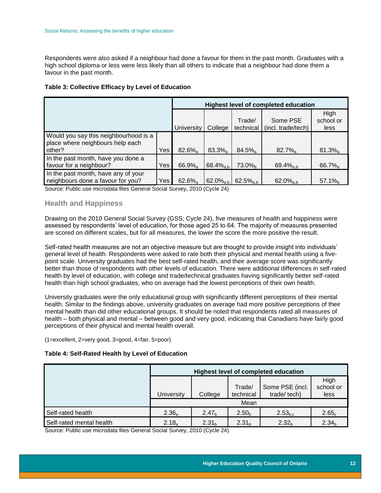Respondents were also asked if a neighbour had done a favour for them in the past month. Graduates with a high school diploma or less were less likely than all others to indicate that a neighbour had done them a favour in the past month.

<span id="page-13-1"></span>**Table 3: Collective Efficacy by Level of Education**

|                                                                                     |     | <b>Highest level of completed education</b> |                       |                       |                                |                           |  |
|-------------------------------------------------------------------------------------|-----|---------------------------------------------|-----------------------|-----------------------|--------------------------------|---------------------------|--|
|                                                                                     |     | University                                  | College               | Trade/<br>technical   | Some PSE<br>(incl. trade/tech) | High<br>school or<br>less |  |
| Would you say this neighbourhood is a<br>place where neighbours help each<br>other? | Yes | $82.6\%$                                    | $83.3\%$ <sub>a</sub> | $84.5\%$ <sub>a</sub> | $82.7\%$ <sub>a</sub>          | $81.3\%$ <sub>a</sub>     |  |
| In the past month, have you done a<br>favour for a neighbour?                       | Yes | 66.9%                                       | $68.4\%_{a,b}$        | $73.0\%$ <sub>h</sub> | 69.4 $%_{a,b}$                 | $66.7\%$ <sub>a</sub>     |  |
| In the past month, have any of your<br>neighbours done a favour for you?            | Yes | $62.6\%$                                    | $62.0\%_{\rm ah}$     | $62.5\%_{a,b}$        | 62.0 $%_{a,b}$                 | $57.1\%$                  |  |

Source: Public use microdata files General Social Survey, 2010 (Cycle 24)

## <span id="page-13-0"></span>**Health and Happiness**

Drawing on the 2010 General Social Survey (GSS; Cycle 24), five measures of health and happiness were assessed by respondents' level of education, for those aged 25 to 64. The majority of measures presented are scored on different scales, but for all measures, the lower the score the more positive the result.

Self-rated health measures are not an objective measure but are thought to provide insight into individuals' general level of health. Respondents were asked to rate both their physical and mental health using a fivepoint scale. University graduates had the best self-rated health, and their average score was significantly better than those of respondents with other levels of education. There were additional differences in self-rated health by level of education, with college and trade/technical graduates having significantly better self-rated health than high school graduates, who on average had the lowest perceptions of their own health.

University graduates were the only educational group with significantly different perceptions of their mental health. Similar to the findings above, university graduates on average had more positive perceptions of their mental health than did other educational groups. It should be noted that respondents rated all measures of health – both physical and mental – between good and very good, indicating that Canadians have fairly good perceptions of their physical and mental health overall.

(1=excellent, 2=very good, 3=good, 4=fair, 5=poor)

### <span id="page-13-2"></span>**Table 4: Self-Rated Health by Level of Education**

|                          | <b>Highest level of completed education</b> |                           |                   |                   |                   |  |  |  |
|--------------------------|---------------------------------------------|---------------------------|-------------------|-------------------|-------------------|--|--|--|
|                          |                                             | Some PSE (incl.<br>Trade/ |                   |                   |                   |  |  |  |
|                          | <b>University</b>                           | College                   | technical         | trade/tech)       | less              |  |  |  |
|                          | Mean                                        |                           |                   |                   |                   |  |  |  |
| Self-rated health        | $2.36_a$                                    | 2.47 <sub>b</sub>         | 2.50 <sub>b</sub> | $2.53_{b.c}$      | 2.65 <sub>c</sub> |  |  |  |
| Self-rated mental health | $2.18_a$                                    | 2.31 <sub>h</sub>         | 2.31 <sub>b</sub> | 2.32 <sub>h</sub> | 2.34 <sub>b</sub> |  |  |  |

Source: Public use microdata files General Social Survey, 2010 (Cycle 24)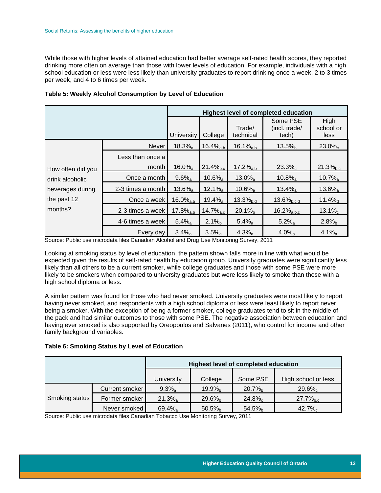While those with higher levels of attained education had better average self-rated health scores, they reported drinking more often on average than those with lower levels of education. For example, individuals with a high school education or less were less likely than university graduates to report drinking once a week, 2 to 3 times per week, and 4 to 6 times per week.

|                   |                   | Highest level of completed education |                         |                       |                                    |                           |  |
|-------------------|-------------------|--------------------------------------|-------------------------|-----------------------|------------------------------------|---------------------------|--|
|                   |                   | <b>University</b>                    | College                 | Trade/<br>technical   | Some PSE<br>(incl. trade/<br>tech) | High<br>school or<br>less |  |
|                   | Never             | $18.3\%$ <sub>a</sub>                | $16.4\%_{a,b}$          | $16.1\%_{a,b}$        | 13.5%                              | $23.0\%c$                 |  |
|                   | Less than once a  |                                      |                         |                       |                                    |                           |  |
| How often did you | month             | $16.0\%$ <sub>a</sub>                | $21.4\%_{b.c}$          | $17.2\%_{a,b}$        | $23.3\%$ <sub>c</sub>              | $21.3\%_{b.c}$            |  |
| drink alcoholic   | Once a month      | $9.6\%$ <sub>a</sub>                 | $10.6\%$ <sub>a</sub>   | $13.0\%$ <sub>a</sub> | $10.8\%$ <sub>a</sub>              | $10.7\%$ <sub>a</sub>     |  |
| beverages during  | 2-3 times a month | $13.6\%$ <sub>a</sub>                | $12.1\%$ <sub>a</sub>   | $10.6\%$ <sub>a</sub> | $13.4\%$ <sub>a</sub>              | $13.6\%$ <sub>a</sub>     |  |
| the past 12       | Once a week       | $16.0\%_{a,b}$                       | $19.4\%$ <sub>a</sub>   | $13.3%_{b.d}$         | $13.6\%_{b,c,d}$                   | 11.4%                     |  |
| months?           | 2-3 times a week  | $17.8\%_{a,b}$                       | $14.7\%$ <sub>a.c</sub> | $20.1%_{b}$           | $16.2\%_{a,b,c}$                   | $13.1\%$ <sub>c</sub>     |  |
|                   | 4-6 times a week  | $5.4\%$ <sub>a</sub>                 | $2.1\%$                 | $5.4\%$ <sub>a</sub>  | $5.2\%$ <sub>a</sub>               | $2.8%_{b}$                |  |
|                   | Every day         | $3.4\%$ <sub>a</sub>                 | $3.5\%$ <sub>a</sub>    | $4.3\%$ <sub>a</sub>  | $4.0\%$ <sub>a</sub>               | $4.1\%$ <sub>a</sub>      |  |

<span id="page-14-0"></span>**Table 5: Weekly Alcohol Consumption by Level of Education**

Source: Public use microdata files Canadian Alcohol and Drug Use Monitoring Survey, 2011

Looking at smoking status by level of education, the pattern shown falls more in line with what would be expected given the results of self-rated health by education group. University graduates were significantly less likely than all others to be a current smoker, while college graduates and those with some PSE were more likely to be smokers when compared to university graduates but were less likely to smoke than those with a high school diploma or less.

A similar pattern was found for those who had never smoked. University graduates were most likely to report having never smoked, and respondents with a high school diploma or less were least likely to report never being a smoker. With the exception of being a former smoker, college graduates tend to sit in the middle of the pack and had similar outcomes to those with some PSE. The negative association between education and having ever smoked is also supported by Oreopoulos and Salvanes (2011), who control for income and other family background variables.

### <span id="page-14-1"></span>**Table 6: Smoking Status by Level of Education**

|                |                | <b>Highest level of completed education</b> |                    |                       |                     |  |  |  |
|----------------|----------------|---------------------------------------------|--------------------|-----------------------|---------------------|--|--|--|
|                |                | <b>University</b>                           | College            | Some PSE              | High school or less |  |  |  |
|                | Current smoker | $9.3\%$ <sub>a</sub>                        | 19.9% <sub>b</sub> | $20.7\%$ <sub>h</sub> | $29.6\%$            |  |  |  |
| Smoking status | Former smoker  | $21.3\%$ <sub>a</sub>                       | $29.6\%$           | $24.8\%$              | $27.7\%_{h.c.}$     |  |  |  |
|                | Never smoked   | $69.4\%$ <sub>a</sub>                       | 50.5%              | 54.5%                 | $42.7\%$            |  |  |  |

Source: Public use microdata files Canadian Tobacco Use Monitoring Survey, 2011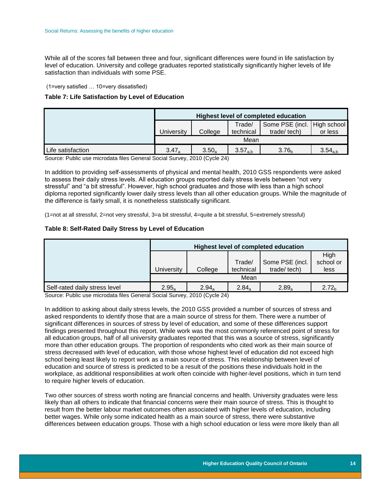While all of the scores fall between three and four, significant differences were found in life satisfaction by level of education. University and college graduates reported statistically significantly higher levels of life satisfaction than individuals with some PSE.

(1=very satisfied … 10=very dissatisfied)

<span id="page-15-0"></span>**Table 7: Life Satisfaction by Level of Education**

|                   | <b>Highest level of completed education</b>                               |         |           |             |         |  |
|-------------------|---------------------------------------------------------------------------|---------|-----------|-------------|---------|--|
|                   | Some PSE (incl.   High school  <br>Trade/                                 |         |           |             |         |  |
|                   | University                                                                | College | technical | trade/tech) | or less |  |
|                   | Mean                                                                      |         |           |             |         |  |
| Life satisfaction | $3.47_a$<br>$3.57_{a,b}$<br>$3.50_a$<br>3.76 <sub>b</sub><br>$3.54_{a,b}$ |         |           |             |         |  |

Source: Public use microdata files General Social Survey, 2010 (Cycle 24)

In addition to providing self-assessments of physical and mental health, 2010 GSS respondents were asked to assess their daily stress levels. All education groups reported daily stress levels between "not very stressful" and "a bit stressful". However, high school graduates and those with less than a high school diploma reported significantly lower daily stress levels than all other education groups. While the magnitude of the difference is fairly small, it is nonetheless statistically significant.

(1=not at all stressful, 2=not very stressful, 3=a bit stressful, 4=quite a bit stressful, 5=extremely stressful)

### <span id="page-15-1"></span>**Table 8: Self-Rated Daily Stress by Level of Education**

|                               | <b>Highest level of completed education</b> |          |                     |                                |                           |  |
|-------------------------------|---------------------------------------------|----------|---------------------|--------------------------------|---------------------------|--|
|                               | Universitv                                  | College  | Trade/<br>technical | Some PSE (incl.<br>trade/tech) | High<br>school or<br>less |  |
|                               | Mean                                        |          |                     |                                |                           |  |
| Self-rated daily stress level | $2.95_a$                                    | $2.94_a$ | $2.84_a$            | $2.89_a$                       | 2.72 <sub>h</sub>         |  |

Source: Public use microdata files General Social Survey, 2010 (Cycle 24)

In addition to asking about daily stress levels, the 2010 GSS provided a number of sources of stress and asked respondents to identify those that are a main source of stress for them. There were a number of significant differences in sources of stress by level of education, and some of these differences support findings presented throughout this report. While work was the most commonly referenced point of stress for all education groups, half of all university graduates reported that this was a source of stress, significantly more than other education groups. The proportion of respondents who cited work as their main source of stress decreased with level of education, with those whose highest level of education did not exceed high school being least likely to report work as a main source of stress. This relationship between level of education and source of stress is predicted to be a result of the positions these individuals hold in the workplace, as additional responsibilities at work often coincide with higher-level positions, which in turn tend to require higher levels of education.

Two other sources of stress worth noting are financial concerns and health. University graduates were less likely than all others to indicate that financial concerns were their main source of stress. This is thought to result from the better labour market outcomes often associated with higher levels of education, including better wages. While only some indicated health as a main source of stress, there were substantive differences between education groups. Those with a high school education or less were more likely than all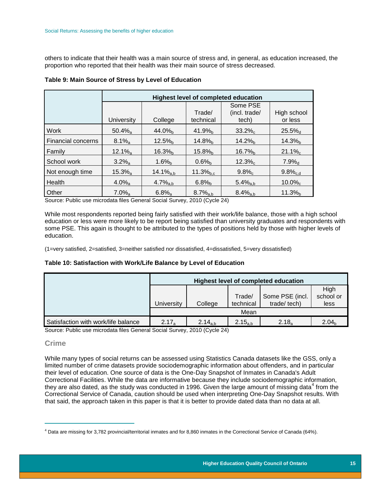others to indicate that their health was a main source of stress and, in general, as education increased, the proportion who reported that their health was their main source of stress decreased.

|                           | <b>Highest level of completed education</b> |                      |                       |                                    |                        |
|---------------------------|---------------------------------------------|----------------------|-----------------------|------------------------------------|------------------------|
|                           | <b>University</b>                           | College              | Trade/<br>technical   | Some PSE<br>(incl. trade/<br>tech) | High school<br>or less |
| Work                      | $50.4\%$ <sub>a</sub>                       | $44.0\%$             | 41.9%                 | $33.2\%$ <sub>c</sub>              | $25.5%$ <sub>d</sub>   |
| <b>Financial concerns</b> | $8.1\%$ <sub>a</sub>                        | 12.5%                | $14.8\%$              | $14.2\%$                           | $14.3\%$               |
| Family                    | $12.1\%$ <sub>a</sub>                       | $16.3\%$             | $15.8\%$ <sub>h</sub> | $16.7\%$ <sub>b</sub>              | $21.1\%$ <sub>c</sub>  |
| School work               | $3.2\%$ <sub>a</sub>                        | $1.6\%$ <sub>b</sub> | $0.6\%$               | $12.3\%c$                          | $7.9%_{d}$             |
| Not enough time           | $15.3\%$ <sub>a</sub>                       | $14.1\%_{a,b}$       | $11.3\%_{b.c}$        | $9.8\%$                            | $9.8\%_{c.d}$          |
| Health                    | $4.0\%$ <sub>a</sub>                        | $4.7\%_{a,b}$        | $6.8%_{b}$            | $5.4\%_{a,b}$                      | $10.0\%$ <sub>c</sub>  |
| Other                     | $7.0\%$ <sub>a</sub>                        | $6.8\%$ <sub>a</sub> | $8.7\%_{a,b}$         | $8.4\%_{a,b}$                      | 11.3%                  |

### <span id="page-16-1"></span>**Table 9: Main Source of Stress by Level of Education**

Source: Public use microdata files General Social Survey, 2010 (Cycle 24)

While most respondents reported being fairly satisfied with their work/life balance, those with a high school education or less were more likely to be report being satisfied than university graduates and respondents with some PSE. This again is thought to be attributed to the types of positions held by those with higher levels of education.

(1=very satisfied, 2=satisfied, 3=neither satisfied nor dissatisfied, 4=dissatisfied, 5=very dissatisfied)

### <span id="page-16-2"></span>**Table 10: Satisfaction with Work/Life Balance by Level of Education**

|                                     | <b>Highest level of completed education</b> |              |                   |                                |                   |
|-------------------------------------|---------------------------------------------|--------------|-------------------|--------------------------------|-------------------|
|                                     |                                             |              | Trade/            | Some PSE (incl.<br>trade/tech) | High<br>school or |
|                                     | University                                  | College      | technical<br>Mean |                                | less              |
| Satisfaction with work/life balance | $2.17_a$                                    | $2.14_{a,b}$ | $2.15_{a,b}$      | $2.18_a$                       | 2.04 <sub>b</sub> |

Source: Public use microdata files General Social Survey, 2010 (Cycle 24)

### <span id="page-16-0"></span>**Crime**

 $\overline{a}$ 

While many types of social returns can be assessed using Statistics Canada datasets like the GSS, only a limited number of crime datasets provide sociodemographic information about offenders, and in particular their level of education. One source of data is the One-Day Snapshot of Inmates in Canada's Adult Correctional Facilities. While the data are informative because they include sociodemographic information, they are also dated, as the study was conducted in 1996. Given the large amount of missing data<sup>4</sup> from the Correctional Service of Canada, caution should be used when interpreting One-Day Snapshot results. With that said, the approach taken in this paper is that it is better to provide dated data than no data at all.

<sup>4</sup> Data are missing for 3,782 provincial/territorial inmates and for 8,860 inmates in the Correctional Service of Canada (64%).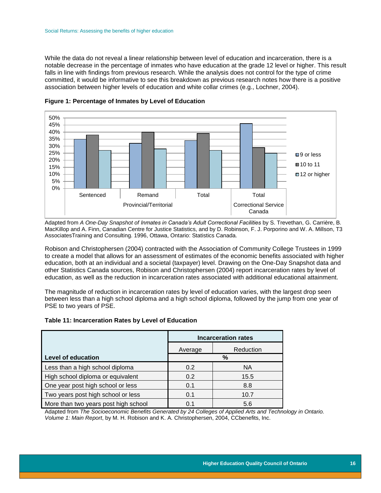While the data do not reveal a linear relationship between level of education and incarceration, there is a notable decrease in the percentage of inmates who have education at the grade 12 level or higher. This result falls in line with findings from previous research. While the analysis does not control for the type of crime committed, it would be informative to see this breakdown as previous research notes how there is a positive association between higher levels of education and white collar crimes (e.g., Lochner, 2004).



<span id="page-17-0"></span>**Figure 1: Percentage of Inmates by Level of Education**

Adapted from *A One-Day Snapshot of Inmates in Canada's Adult Correctional Facilities* by S. Trevethan, G. Carrière, B. MacKillop and A. Finn, Canadian Centre for Justice Statistics, and by D. Robinson, F. J. Porporino and W. A. Millson, T3 AssociatesTraining and Consulting. 1996, Ottawa, Ontario: Statistics Canada.

Robison and Christophersen (2004) contracted with the Association of Community College Trustees in 1999 to create a model that allows for an assessment of estimates of the economic benefits associated with higher education, both at an individual and a societal (taxpayer) level. Drawing on the One-Day Snapshot data and other Statistics Canada sources, Robison and Christophersen (2004) report incarceration rates by level of education, as well as the reduction in incarceration rates associated with additional educational attainment.

The magnitude of reduction in incarceration rates by level of education varies, with the largest drop seen between less than a high school diploma and a high school diploma, followed by the jump from one year of PSE to two years of PSE.

<span id="page-17-1"></span>

|                                      | <b>Incarceration rates</b> |           |  |
|--------------------------------------|----------------------------|-----------|--|
|                                      | Average                    | Reduction |  |
| <b>Level of education</b>            | %                          |           |  |
| Less than a high school diploma      | 0.2                        | <b>NA</b> |  |
| High school diploma or equivalent    | 0.2                        | 15.5      |  |
| One year post high school or less    | 0.1                        | 8.8       |  |
| Two years post high school or less   | 0.1                        | 10.7      |  |
| More than two years post high school | 0.1                        | 5.6       |  |

Adapted from *The Socioeconomic Benefits Generated by 24 Colleges of Applied Arts and Technology in Ontario. Volume 1: Main Report*, by M. H. Robison and K. A. Christophersen, 2004, CCbenefits, Inc.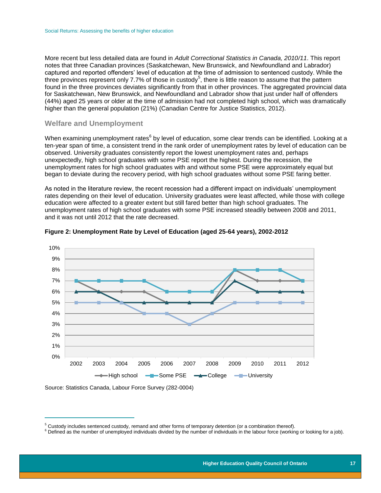More recent but less detailed data are found in *Adult Correctional Statistics in Canada, 2010/11*. This report notes that three Canadian provinces (Saskatchewan, New Brunswick, and Newfoundland and Labrador) captured and reported offenders' level of education at the time of admission to sentenced custody. While the three provinces represent only 7.7% of those in custody<sup>5</sup>, there is little reason to assume that the pattern found in the three provinces deviates significantly from that in other provinces. The aggregated provincial data for Saskatchewan, New Brunswick, and Newfoundland and Labrador show that just under half of offenders (44%) aged 25 years or older at the time of admission had not completed high school, which was dramatically higher than the general population (21%) (Canadian Centre for Justice Statistics, 2012).

## <span id="page-18-0"></span>**Welfare and Unemployment**

When examining unemployment rates<sup>6</sup> by level of education, some clear trends can be identified. Looking at a ten-year span of time, a consistent trend in the rank order of unemployment rates by level of education can be observed. University graduates consistently report the lowest unemployment rates and, perhaps unexpectedly, high school graduates with some PSE report the highest. During the recession, the unemployment rates for high school graduates with and without some PSE were approximately equal but began to deviate during the recovery period, with high school graduates without some PSE faring better.

As noted in the literature review, the recent recession had a different impact on individuals' unemployment rates depending on their level of education. University graduates were least affected, while those with college education were affected to a greater extent but still fared better than high school graduates. The unemployment rates of high school graduates with some PSE increased steadily between 2008 and 2011, and it was not until 2012 that the rate decreased.



#### <span id="page-18-1"></span>**Figure 2: Unemployment Rate by Level of Education (aged 25-64 years), 2002-2012**

Source: Statistics Canada, Labour Force Survey (282-0004)

 $\overline{a}$ 

 $5$  Custody includes sentenced custody, remand and other forms of temporary detention (or a combination thereof).

<sup>&</sup>lt;sup>6</sup> Defined as the number of unemployed individuals divided by the number of individuals in the labour force (working or looking for a job).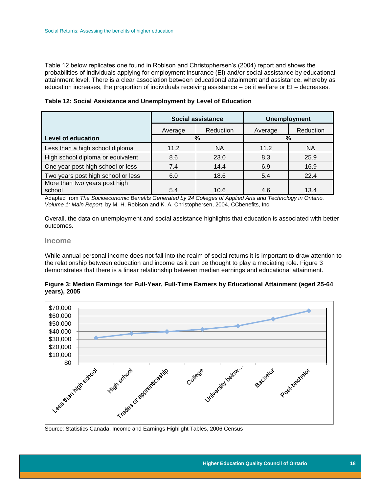Table 12 below replicates one found in Robison and Christophersen's (2004) report and shows the probabilities of individuals applying for employment insurance (EI) and/or social assistance by educational attainment level. There is a clear association between educational attainment and assistance, whereby as education increases, the proportion of individuals receiving assistance – be it welfare or EI – decreases.

<span id="page-19-2"></span>**Table 12: Social Assistance and Unemployment by Level of Education**

|                                         | <b>Social assistance</b> |           | <b>Unemployment</b> |           |
|-----------------------------------------|--------------------------|-----------|---------------------|-----------|
|                                         | Average                  | Reduction | Average             | Reduction |
| <b>Level of education</b>               | %                        |           | %                   |           |
| Less than a high school diploma         | 11.2                     | <b>NA</b> | 11.2                | <b>NA</b> |
| High school diploma or equivalent       | 8.6                      | 23.0      | 8.3                 | 25.9      |
| One year post high school or less       | 7.4                      | 14.4      | 6.9                 | 16.9      |
| Two years post high school or less      | 6.0                      | 18.6      | 5.4                 | 22.4      |
| More than two years post high<br>school | 5.4                      | 10.6      | 4.6                 | 13.4      |
|                                         |                          |           |                     |           |

Adapted from *The Socioeconomic Benefits Generated by 24 Colleges of Applied Arts and Technology in Ontario. Volume 1: Main Report*, by M. H. Robison and K. A. Christophersen, 2004, CCbenefits, Inc.

Overall, the data on unemployment and social assistance highlights that education is associated with better outcomes.

### <span id="page-19-0"></span>**Income**

While annual personal income does not fall into the realm of social returns it is important to draw attention to the relationship between education and income as it can be thought to play a mediating role. Figure 3 demonstrates that there is a linear relationship between median earnings and educational attainment.

<span id="page-19-1"></span>

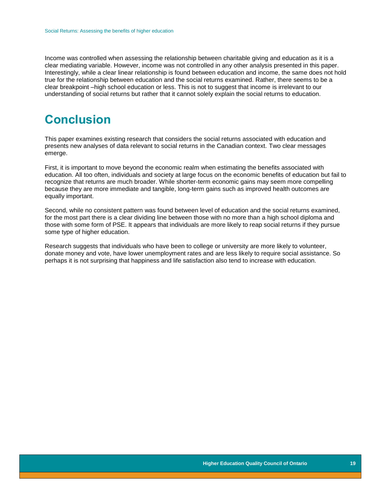Income was controlled when assessing the relationship between charitable giving and education as it is a clear mediating variable. However, income was not controlled in any other analysis presented in this paper. Interestingly, while a clear linear relationship is found between education and income, the same does not hold true for the relationship between education and the social returns examined. Rather, there seems to be a clear breakpoint –high school education or less. This is not to suggest that income is irrelevant to our understanding of social returns but rather that it cannot solely explain the social returns to education.

## <span id="page-20-0"></span>**Conclusion**

This paper examines existing research that considers the social returns associated with education and presents new analyses of data relevant to social returns in the Canadian context. Two clear messages emerge.

First, it is important to move beyond the economic realm when estimating the benefits associated with education. All too often, individuals and society at large focus on the economic benefits of education but fail to recognize that returns are much broader. While shorter-term economic gains may seem more compelling because they are more immediate and tangible, long-term gains such as improved health outcomes are equally important.

Second, while no consistent pattern was found between level of education and the social returns examined, for the most part there is a clear dividing line between those with no more than a high school diploma and those with some form of PSE. It appears that individuals are more likely to reap social returns if they pursue some type of higher education.

Research suggests that individuals who have been to college or university are more likely to volunteer, donate money and vote, have lower unemployment rates and are less likely to require social assistance. So perhaps it is not surprising that happiness and life satisfaction also tend to increase with education.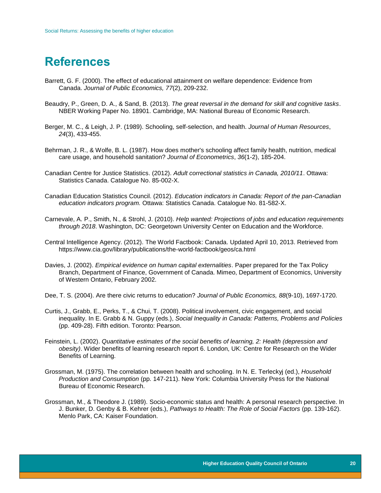## <span id="page-21-0"></span>**References**

- Barrett, G. F. (2000). The effect of educational attainment on welfare dependence: Evidence from Canada. *Journal of Public Economics, 77*(2), 209-232.
- Beaudry, P., Green, D. A., & Sand, B. (2013). *The great reversal in the demand for skill and cognitive tasks*. NBER Working Paper No. 18901. Cambridge, MA: National Bureau of Economic Research.
- Berger, M. C., & Leigh, J. P. (1989). Schooling, self-selection, and health. *Journal of Human Resources*, *24*(3), 433-455.
- Behrman, J. R., & Wolfe, B. L. (1987). How does mother's schooling affect family health, nutrition, medical care usage, and household sanitation? *Journal of Econometrics*, *36*(1-2), 185-204.
- Canadian Centre for Justice Statistics. (2012). *Adult correctional statistics in Canada, 2010/11*. Ottawa: Statistics Canada. Catalogue No. 85-002-X.
- Canadian Education Statistics Council. (2012). *Education indicators in Canada: Report of the pan-Canadian education indicators program.* Ottawa: Statistics Canada. Catalogue No. 81-582-X.
- Carnevale, A. P., Smith, N., & Strohl, J. (2010). *Help wanted: Projections of jobs and education requirements through 2018*. Washington, DC: Georgetown University Center on Education and the Workforce.
- Central Intelligence Agency. (2012). The World Factbook: Canada. Updated April 10, 2013. Retrieved from <https://www.cia.gov/library/publications/the-world-factbook/geos/ca.html>
- Davies, J. (2002). *Empirical evidence on human capital externalities*. Paper prepared for the Tax Policy Branch, Department of Finance, Government of Canada. Mimeo, Department of Economics, University of Western Ontario, February 2002.
- Dee, T. S. (2004). Are there civic returns to education? *Journal of Public Economics, 88*(9-10), 1697-1720.
- Curtis, J., Grabb, E., Perks, T., & Chui, T. (2008). Political involvement, civic engagement, and social inequality. In E. Grabb & N. Guppy (eds.), *Social Inequality in Canada: Patterns, Problems and Policies* (pp. 409-28). Fifth edition. Toronto: Pearson.
- Feinstein, L. (2002). *Quantitative estimates of the social benefits of learning, 2: Health (depression and obesity)*. Wider benefits of learning research report 6. London, UK: Centre for Research on the Wider Benefits of Learning.
- Grossman, M. (1975). The correlation between health and schooling. In N. E. Terleckyj (ed.), *Household Production and Consumption* (pp. 147-211). New York: Columbia University Press for the National Bureau of Economic Research.
- Grossman, M., & Theodore J. (1989). Socio-economic status and health: A personal research perspective. In J. Bunker, D. Genby & B. Kehrer (eds.), *Pathways to Health: The Role of Social Factors* (pp. 139-162). Menlo Park, CA: Kaiser Foundation.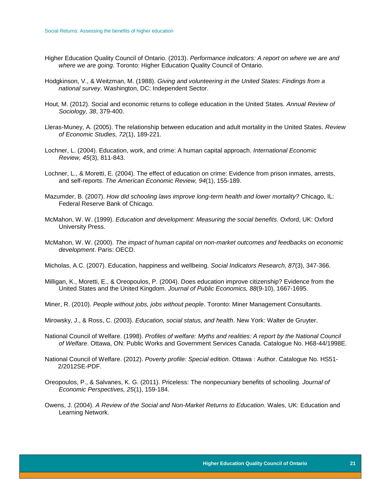- Higher Education Quality Council of Ontario. (2013). *Performance indicators: A report on where we are and where we are going*. Toronto: Higher Education Quality Council of Ontario.
- Hodgkinson, V., & Weitzman, M. (1988). *Giving and volunteering in the United States: Findings from a national survey*. Washington, DC: Independent Sector.
- Hout, M. (2012). Social and economic returns to college education in the United States. *Annual Review of Sociology, 38*, 379-400.
- Lleras-Muney, A. (2005). The relationship between education and adult mortality in the United States. *Review of Economic Studies, 72*(1), 189-221.
- Lochner, L. (2004). Education, work, and crime: A human capital approach. *International Economic Review, 45*(3), 811-843.
- Lochner, L., & Moretti, E. (2004). The effect of education on crime: Evidence from prison inmates, arrests, and self-reports. *The American Economic Review, 94*(1), 155-189.
- Mazumder, B. (2007). *How did schooling laws improve long-term health and lower mortality?* Chicago, IL: Federal Reserve Bank of Chicago.
- McMahon, W. W. (1999). *Education and development: Measuring the social benefits*. Oxford, UK: Oxford University Press.
- McMahon, W. W. (2000). *The impact of human capital on non-market outcomes and feedbacks on economic development*. Paris: OECD.
- Micholas, A.C. (2007). Education, happiness and wellbeing. *Social Indicators Research, 87*(3), 347-366.
- Milligan, K., Moretti, E., & Oreopoulos, P. (2004). Does education improve citizenship? Evidence from the United States and the United Kingdom. *Journal of Public Economics, 88*(9-10), 1667-1695.
- Miner, R. (2010). *People without jobs, jobs without people*. Toronto: Miner Management Consultants.
- Mirowsky, J., & Ross, C. (2003). *Education, social status, and health*. New York: Walter de Gruyter.
- National Council of Welfare. (1998). *Profiles of welfare: Myths and realities: A report by the National Council of Welfare*. Ottawa, ON: Public Works and Government Services Canada. Catalogue No. H68-44/1998E.
- National Council of Welfare. (2012). *Poverty profile: Special edition*. Ottawa : Author. Catalogue No. HS51- 2/2012SE-PDF.
- Oreopoulos, P., & Salvanes, K. G. (2011). Priceless: The nonpecuniary benefits of schooling. *Journal of Economic Perspectives, 25*(1), 159-184.
- Owens, J. (2004). *A Review of the Social and Non-Market Returns to Education*. Wales, UK: Education and Learning Network.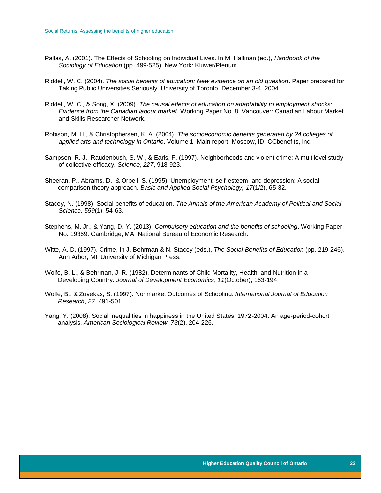- Pallas, A. (2001). The Effects of Schooling on Individual Lives. In M. Hallinan (ed.), *Handbook of the Sociology of Education* (pp. 499-525). New York: Kluwer/Plenum.
- Riddell, W. C. (2004). *The social benefits of education: New evidence on an old question*. Paper prepared for Taking Public Universities Seriously, University of Toronto, December 3-4, 2004.
- Riddell, W. C., & Song, X. (2009). *The causal effects of education on adaptability to employment shocks: Evidence from the Canadian labour market*. Working Paper No. 8. Vancouver: Canadian Labour Market and Skills Researcher Network.
- Robison, M. H., & Christophersen, K. A. (2004). *The socioeconomic benefits generated by 24 colleges of applied arts and technology in Ontario*. Volume 1: Main report. Moscow, ID: CCbenefits, Inc.
- Sampson, R. J., Raudenbush, S. W., & Earls, F. (1997). Neighborhoods and violent crime: A multilevel study of collective efficacy. *Science*, *227*, 918-923.
- Sheeran, P., Abrams, D., & Orbell, S. (1995). Unemployment, self-esteem, and depression: A social comparison theory approach. *Basic and Applied Social Psychology, 17*(1/2), 65-82.
- Stacey, N. (1998). Social benefits of education. *The Annals of the American Academy of Political and Social Science, 559*(1), 54-63.
- Stephens, M. Jr., & Yang, D.-Y. (2013). *Compulsory education and the benefits of schooling*. Working Paper No. 19369. Cambridge, MA: National Bureau of Economic Research.
- Witte, A. D. (1997). Crime. In J. Behrman & N. Stacey (eds.), *The Social Benefits of Education* (pp. 219-246). Ann Arbor, MI: University of Michigan Press.
- Wolfe, B. L., & Behrman, J. R. (1982). Determinants of Child Mortality, Health, and Nutrition in a Developing Country. *Journal of Development Economics*, *11*(October), 163-194.
- Wolfe, B., & Zuvekas, S. (1997). Nonmarket Outcomes of Schooling. *International Journal of Education Research*, *27*, 491-501.
- Yang, Y. (2008). Social inequalities in happiness in the United States, 1972-2004: An age-period-cohort analysis. *American Sociological Review*, *73*(2), 204-226.